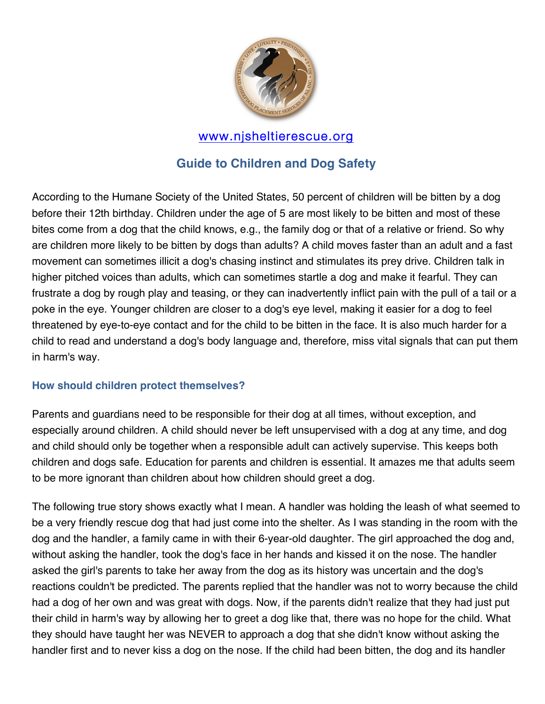

### www.njsheltierescue.org

# **Guide to Children and Dog Safety**

According to the Humane Society of the United States, 50 percent of children will be bitten by a dog before their 12th birthday. Children under the age of 5 are most likely to be bitten and most of these bites come from a dog that the child knows, e.g., the family dog or that of a relative or friend. So why are children more likely to be bitten by dogs than adults? A child moves faster than an adult and a fast movement can sometimes illicit a dog's chasing instinct and stimulates its prey drive. Children talk in higher pitched voices than adults, which can sometimes startle a dog and make it fearful. They can frustrate a dog by rough play and teasing, or they can inadvertently inflict pain with the pull of a tail or a poke in the eye. Younger children are closer to a dog's eye level, making it easier for a dog to feel threatened by eye-to-eye contact and for the child to be bitten in the face. It is also much harder for a child to read and understand a dog's body language and, therefore, miss vital signals that can put them in harm's way.

#### **How should children protect themselves?**

Parents and guardians need to be responsible for their dog at all times, without exception, and especially around children. A child should never be left unsupervised with a dog at any time, and dog and child should only be together when a responsible adult can actively supervise. This keeps both children and dogs safe. Education for parents and children is essential. It amazes me that adults seem to be more ignorant than children about how children should greet a dog.

The following true story shows exactly what I mean. A handler was holding the leash of what seemed to be a very friendly rescue dog that had just come into the shelter. As I was standing in the room with the dog and the handler, a family came in with their 6-year-old daughter. The girl approached the dog and, without asking the handler, took the dog's face in her hands and kissed it on the nose. The handler asked the girl's parents to take her away from the dog as its history was uncertain and the dog's reactions couldn't be predicted. The parents replied that the handler was not to worry because the child had a dog of her own and was great with dogs. Now, if the parents didn't realize that they had just put their child in harm's way by allowing her to greet a dog like that, there was no hope for the child. What they should have taught her was NEVER to approach a dog that she didn't know without asking the handler first and to never kiss a dog on the nose. If the child had been bitten, the dog and its handler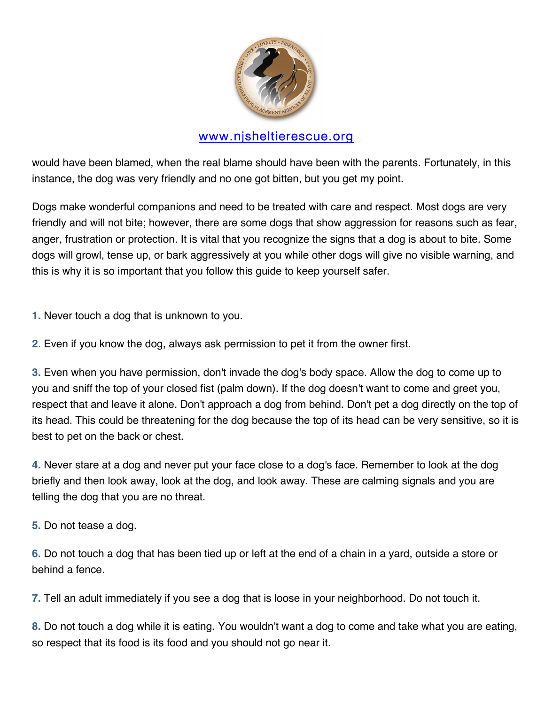

# www.njsheltierescue.org

would have been blamed, when the real blame should have been with the parents. Fortunately, in this instance, the dog was very friendly and no one got bitten, but you get my point.

Dogs make wonderful companions and need to be treated with care and respect. Most dogs are very friendly and will not bite; however, there are some dogs that show aggression for reasons such as fear, anger, frustration or protection. It is vital that you recognize the signs that a dog is about to bite. Some dogs will growl, tense up, or bark aggressively at you while other dogs will give no visible warning, and this is why it is so important that you follow this guide to keep yourself safer.

**1.** Never touch a dog that is unknown to you.

**2**. Even if you know the dog, always ask permission to pet it from the owner first.

**3.** Even when you have permission, don't invade the dog's body space. Allow the dog to come up to you and sniff the top of your closed fist (palm down). If the dog doesn't want to come and greet you, respect that and leave it alone. Don't approach a dog from behind. Don't pet a dog directly on the top of its head. This could be threatening for the dog because the top of its head can be very sensitive, so it is best to pet on the back or chest.

**4.** Never stare at a dog and never put your face close to a dog's face. Remember to look at the dog briefly and then look away, look at the dog, and look away. These are calming signals and you are telling the dog that you are no threat.

**5.** Do not tease a dog.

**6.** Do not touch a dog that has been tied up or left at the end of a chain in a yard, outside a store or behind a fence.

**7.** Tell an adult immediately if you see a dog that is loose in your neighborhood. Do not touch it.

**8.** Do not touch a dog while it is eating. You wouldn't want a dog to come and take what you are eating, so respect that its food is its food and you should not go near it.